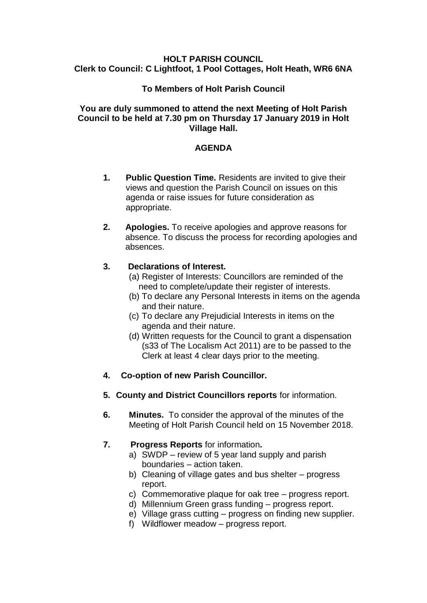#### **HOLT PARISH COUNCIL Clerk to Council: C Lightfoot, 1 Pool Cottages, Holt Heath, WR6 6NA**

## **To Members of Holt Parish Council**

### **You are duly summoned to attend the next Meeting of Holt Parish Council to be held at 7.30 pm on Thursday 17 January 2019 in Holt Village Hall.**

## **AGENDA**

- **1. Public Question Time.** Residents are invited to give their views and question the Parish Council on issues on this agenda or raise issues for future consideration as appropriate.
- **2. Apologies.** To receive apologies and approve reasons for absence. To discuss the process for recording apologies and absences.

### **3. Declarations of Interest.**

- (a) Register of Interests: Councillors are reminded of the need to complete/update their register of interests.
- (b) To declare any Personal Interests in items on the agenda and their nature.
- (c) To declare any Prejudicial Interests in items on the agenda and their nature.
- (d) Written requests for the Council to grant a dispensation (s33 of The Localism Act 2011) are to be passed to the Clerk at least 4 clear days prior to the meeting.
- **4. Co-option of new Parish Councillor.**
- **5. County and District Councillors reports** for information.
- **6. Minutes.** To consider the approval of the minutes of the Meeting of Holt Parish Council held on 15 November 2018.

# **7. Progress Reports** for information**.**

- a) SWDP review of 5 year land supply and parish boundaries – action taken.
- b) Cleaning of village gates and bus shelter progress report.
- c) Commemorative plaque for oak tree progress report.
- d) Millennium Green grass funding progress report.
- e) Village grass cutting progress on finding new supplier.
- f) Wildflower meadow progress report.